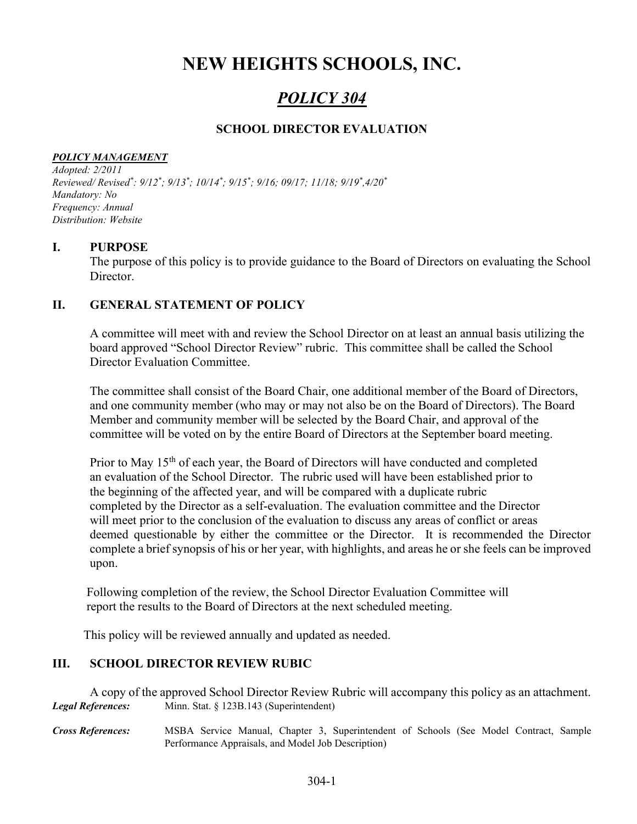# NEW HEIGHTS SCHOOLS, INC.

## POLICY 304

### SCHOOL DIRECTOR EVALUATION

#### POLICY MANAGEMENT

Adopted: 2/2011 Reviewed/Revised\*:  $9/12$ \*;  $9/13$ \*;  $10/14$ \*;  $9/15$ \*;  $9/16$ ;  $09/17$ ;  $11/18$ ;  $9/19$ \*, $4/20$ \* Mandatory: No Frequency: Annual Distribution: Website

#### I. PURPOSE

The purpose of this policy is to provide guidance to the Board of Directors on evaluating the School Director.

#### II. GENERAL STATEMENT OF POLICY

A committee will meet with and review the School Director on at least an annual basis utilizing the board approved "School Director Review" rubric. This committee shall be called the School Director Evaluation Committee.

The committee shall consist of the Board Chair, one additional member of the Board of Directors, and one community member (who may or may not also be on the Board of Directors). The Board Member and community member will be selected by the Board Chair, and approval of the committee will be voted on by the entire Board of Directors at the September board meeting.

Prior to May 15<sup>th</sup> of each year, the Board of Directors will have conducted and completed an evaluation of the School Director. The rubric used will have been established prior to the beginning of the affected year, and will be compared with a duplicate rubric completed by the Director as a self-evaluation. The evaluation committee and the Director will meet prior to the conclusion of the evaluation to discuss any areas of conflict or areas deemed questionable by either the committee or the Director. It is recommended the Director complete a brief synopsis of his or her year, with highlights, and areas he or she feels can be improved upon.

 Following completion of the review, the School Director Evaluation Committee will report the results to the Board of Directors at the next scheduled meeting.

This policy will be reviewed annually and updated as needed.

#### III. SCHOOL DIRECTOR REVIEW RUBIC

A copy of the approved School Director Review Rubric will accompany this policy as an attachment. Legal References: Minn. Stat. § 123B.143 (Superintendent) Cross References: MSBA Service Manual, Chapter 3, Superintendent of Schools (See Model Contract, Sample

Performance Appraisals, and Model Job Description)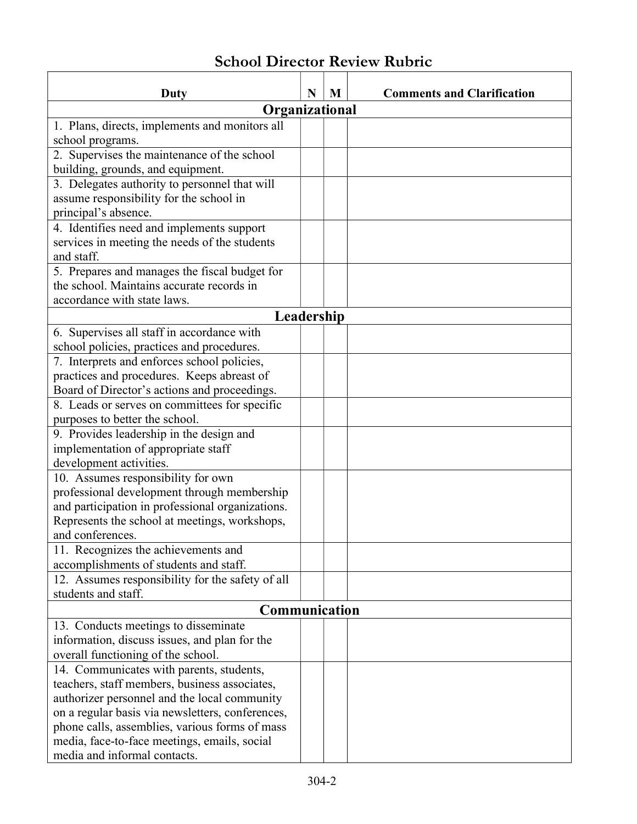## School Director Review Rubric

 $\mathsf{r}$ 

| Duty                                                                          | N | M | <b>Comments and Clarification</b> |  |  |  |
|-------------------------------------------------------------------------------|---|---|-----------------------------------|--|--|--|
| Organizational                                                                |   |   |                                   |  |  |  |
| 1. Plans, directs, implements and monitors all                                |   |   |                                   |  |  |  |
| school programs.                                                              |   |   |                                   |  |  |  |
| 2. Supervises the maintenance of the school                                   |   |   |                                   |  |  |  |
| building, grounds, and equipment.                                             |   |   |                                   |  |  |  |
| 3. Delegates authority to personnel that will                                 |   |   |                                   |  |  |  |
| assume responsibility for the school in                                       |   |   |                                   |  |  |  |
| principal's absence.                                                          |   |   |                                   |  |  |  |
| 4. Identifies need and implements support                                     |   |   |                                   |  |  |  |
| services in meeting the needs of the students                                 |   |   |                                   |  |  |  |
| and staff.                                                                    |   |   |                                   |  |  |  |
| 5. Prepares and manages the fiscal budget for                                 |   |   |                                   |  |  |  |
| the school. Maintains accurate records in                                     |   |   |                                   |  |  |  |
| accordance with state laws.                                                   |   |   |                                   |  |  |  |
| Leadership                                                                    |   |   |                                   |  |  |  |
| 6. Supervises all staff in accordance with                                    |   |   |                                   |  |  |  |
| school policies, practices and procedures.                                    |   |   |                                   |  |  |  |
| 7. Interprets and enforces school policies,                                   |   |   |                                   |  |  |  |
| practices and procedures. Keeps abreast of                                    |   |   |                                   |  |  |  |
| Board of Director's actions and proceedings.                                  |   |   |                                   |  |  |  |
| 8. Leads or serves on committees for specific                                 |   |   |                                   |  |  |  |
| purposes to better the school.                                                |   |   |                                   |  |  |  |
| 9. Provides leadership in the design and                                      |   |   |                                   |  |  |  |
| implementation of appropriate staff                                           |   |   |                                   |  |  |  |
| development activities.                                                       |   |   |                                   |  |  |  |
| 10. Assumes responsibility for own                                            |   |   |                                   |  |  |  |
| professional development through membership                                   |   |   |                                   |  |  |  |
| and participation in professional organizations.                              |   |   |                                   |  |  |  |
| Represents the school at meetings, workshops,                                 |   |   |                                   |  |  |  |
| and conferences.                                                              |   |   |                                   |  |  |  |
| 11. Recognizes the achievements and<br>accomplishments of students and staff. |   |   |                                   |  |  |  |
| 12. Assumes responsibility for the safety of all                              |   |   |                                   |  |  |  |
| students and staff.                                                           |   |   |                                   |  |  |  |
| Communication                                                                 |   |   |                                   |  |  |  |
| 13. Conducts meetings to disseminate                                          |   |   |                                   |  |  |  |
| information, discuss issues, and plan for the                                 |   |   |                                   |  |  |  |
| overall functioning of the school.                                            |   |   |                                   |  |  |  |
| 14. Communicates with parents, students,                                      |   |   |                                   |  |  |  |
| teachers, staff members, business associates,                                 |   |   |                                   |  |  |  |
| authorizer personnel and the local community                                  |   |   |                                   |  |  |  |
| on a regular basis via newsletters, conferences,                              |   |   |                                   |  |  |  |
| phone calls, assemblies, various forms of mass                                |   |   |                                   |  |  |  |
| media, face-to-face meetings, emails, social                                  |   |   |                                   |  |  |  |
| media and informal contacts.                                                  |   |   |                                   |  |  |  |